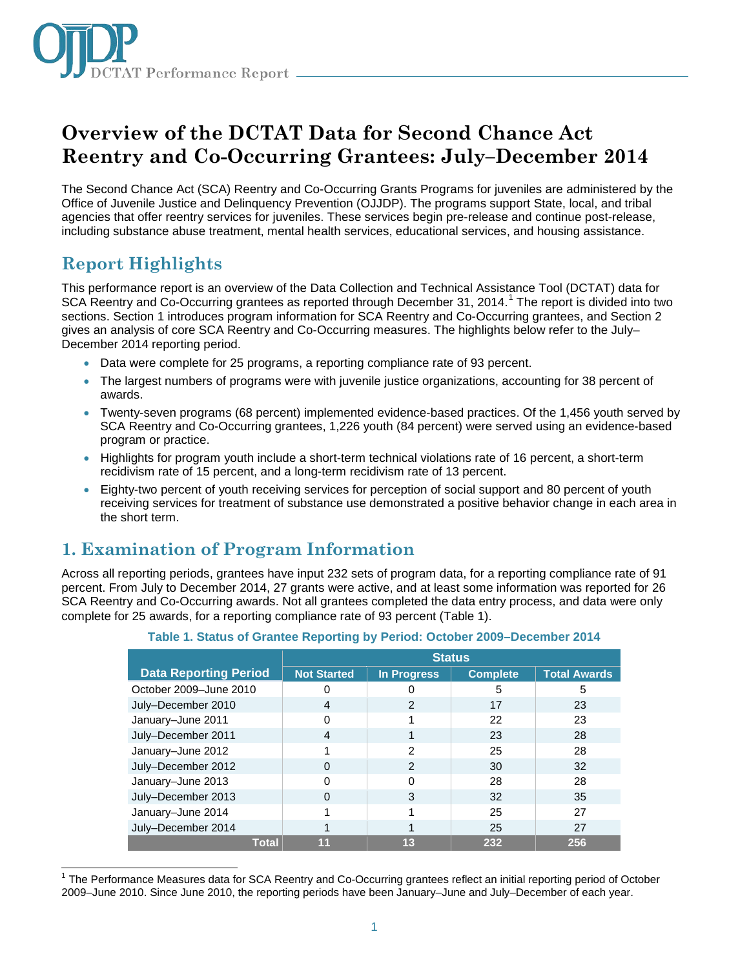

# **Overview of the DCTAT Data for Second Chance Act Reentry and Co-Occurring Grantees: July–December 2014**

The Second Chance Act (SCA) Reentry and Co-Occurring Grants Programs for juveniles are administered by the Office of Juvenile Justice and Delinquency Prevention (OJJDP). The programs support State, local, and tribal agencies that offer reentry services for juveniles. These services begin pre-release and continue post-release, including substance abuse treatment, mental health services, educational services, and housing assistance.

# **Report Highlights**

This performance report is an overview of the Data Collection and Technical Assistance Tool (DCTAT) data for SCA Reentry and Co-Occurring grantees as reported through December 3[1](#page-0-0), 2014.<sup>1</sup> The report is divided into two sections. Section 1 introduces program information for SCA Reentry and Co-Occurring grantees, and Section 2 gives an analysis of core SCA Reentry and Co-Occurring measures. The highlights below refer to the July– December 2014 reporting period.

- Data were complete for 25 programs, a reporting compliance rate of 93 percent.
- The largest numbers of programs were with juvenile justice organizations, accounting for 38 percent of awards.
- Twenty-seven programs (68 percent) implemented evidence-based practices. Of the 1,456 youth served by SCA Reentry and Co-Occurring grantees, 1,226 youth (84 percent) were served using an evidence-based program or practice.
- Highlights for program youth include a short-term technical violations rate of 16 percent, a short-term recidivism rate of 15 percent, and a long-term recidivism rate of 13 percent.
- Eighty-two percent of youth receiving services for perception of social support and 80 percent of youth receiving services for treatment of substance use demonstrated a positive behavior change in each area in the short term.

# **1. Examination of Program Information**

Across all reporting periods, grantees have input 232 sets of program data, for a reporting compliance rate of 91 percent. From July to December 2014, 27 grants were active, and at least some information was reported for 26 SCA Reentry and Co-Occurring awards. Not all grantees completed the data entry process, and data were only complete for 25 awards, for a reporting compliance rate of 93 percent (Table 1).

|                              | <b>Status</b>      |               |                 |                     |
|------------------------------|--------------------|---------------|-----------------|---------------------|
| <b>Data Reporting Period</b> | <b>Not Started</b> | In Progress   | <b>Complete</b> | <b>Total Awards</b> |
| October 2009-June 2010       |                    |               | 5               | 5                   |
| July-December 2010           | 4                  | $\mathcal{P}$ | 17              | 23                  |
| January-June 2011            |                    |               | 22              | 23                  |
| July-December 2011           | 4                  |               | 23              | 28                  |
| January-June 2012            |                    | 2             | 25              | 28                  |
| July-December 2012           |                    | $\mathcal{P}$ | 30              | 32                  |
| January-June 2013            |                    | ი             | 28              | 28                  |
| July-December 2013           |                    | 3             | 32              | 35                  |
| January-June 2014            |                    |               | 25              | 27                  |
| July-December 2014           |                    |               | 25              | 27                  |
| Total                        | 11                 | 13            | 232             | 256                 |

#### **Table 1. Status of Grantee Reporting by Period: October 2009–December 2014**

<span id="page-0-0"></span>j <sup>1</sup> The Performance Measures data for SCA Reentry and Co-Occurring grantees reflect an initial reporting period of October 2009–June 2010. Since June 2010, the reporting periods have been January–June and July–December of each year.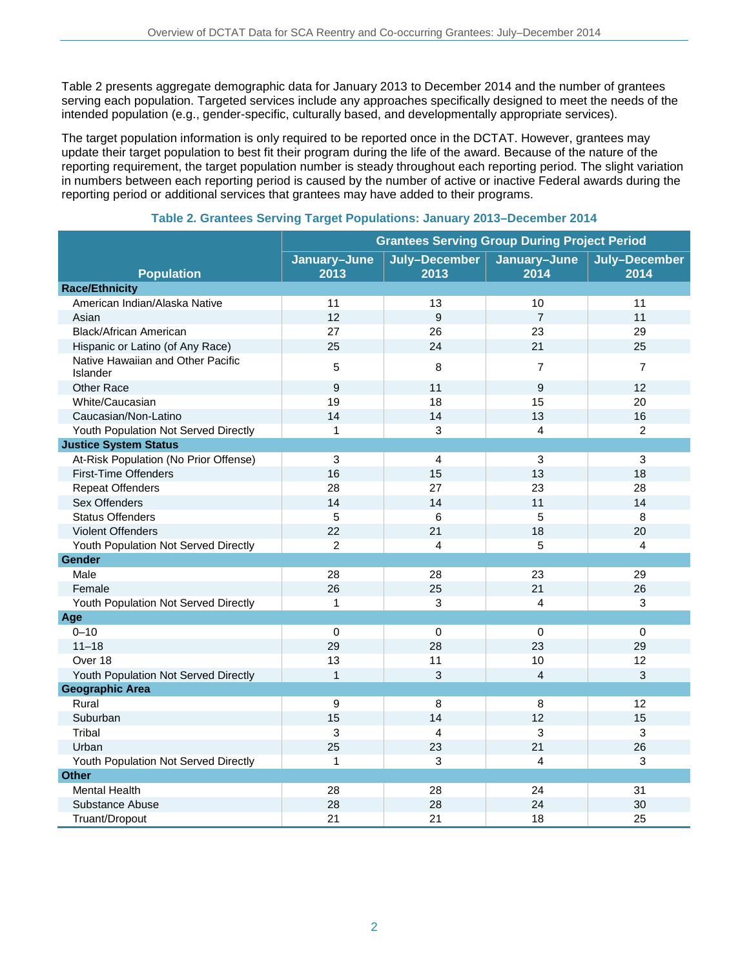Table 2 presents aggregate demographic data for January 2013 to December 2014 and the number of grantees serving each population. Targeted services include any approaches specifically designed to meet the needs of the intended population (e.g., gender-specific, culturally based, and developmentally appropriate services).

The target population information is only required to be reported once in the DCTAT. However, grantees may update their target population to best fit their program during the life of the award. Because of the nature of the reporting requirement, the target population number is steady throughout each reporting period. The slight variation in numbers between each reporting period is caused by the number of active or inactive Federal awards during the reporting period or additional services that grantees may have added to their programs.

|                                               | <b>Grantees Serving Group During Project Period</b> |                       |                         |                       |
|-----------------------------------------------|-----------------------------------------------------|-----------------------|-------------------------|-----------------------|
| <b>Population</b>                             | January-June<br>2013                                | July-December<br>2013 | January-June<br>2014    | July-December<br>2014 |
| <b>Race/Ethnicity</b>                         |                                                     |                       |                         |                       |
| American Indian/Alaska Native                 | 11                                                  | 13                    | 10                      | 11                    |
| Asian                                         | 12                                                  | 9                     | $\overline{7}$          | 11                    |
| <b>Black/African American</b>                 | 27                                                  | 26                    | 23                      | 29                    |
| Hispanic or Latino (of Any Race)              | 25                                                  | 24                    | 21                      | 25                    |
| Native Hawaiian and Other Pacific<br>Islander | 5                                                   | 8                     | $\overline{7}$          | $\overline{7}$        |
| <b>Other Race</b>                             | 9                                                   | 11                    | 9                       | 12                    |
| White/Caucasian                               | 19                                                  | 18                    | 15                      | 20                    |
| Caucasian/Non-Latino                          | 14                                                  | 14                    | 13                      | 16                    |
| Youth Population Not Served Directly          | 1                                                   | 3                     | $\overline{\mathbf{4}}$ | $\overline{c}$        |
| <b>Justice System Status</b>                  |                                                     |                       |                         |                       |
| At-Risk Population (No Prior Offense)         | $\sqrt{3}$                                          | 4                     | $\sqrt{3}$              | 3                     |
| <b>First-Time Offenders</b>                   | 16                                                  | 15                    | 13                      | 18                    |
| <b>Repeat Offenders</b>                       | 28                                                  | 27                    | 23                      | 28                    |
| Sex Offenders                                 | 14                                                  | 14                    | 11                      | 14                    |
| <b>Status Offenders</b>                       | 5                                                   | 6                     | 5                       | 8                     |
| Violent Offenders                             | 22                                                  | 21                    | 18                      | 20                    |
| Youth Population Not Served Directly          | $\overline{c}$                                      | 4                     | 5                       | 4                     |
| Gender                                        |                                                     |                       |                         |                       |
| Male                                          | 28                                                  | 28                    | 23                      | 29                    |
| Female                                        | 26                                                  | 25                    | 21                      | 26                    |
| Youth Population Not Served Directly          | 1                                                   | 3                     | $\overline{4}$          | 3                     |
| Age                                           |                                                     |                       |                         |                       |
| $0 - 10$                                      | $\mathbf 0$                                         | $\mathbf 0$           | $\mathbf 0$             | $\mathbf 0$           |
| $11 - 18$                                     | 29                                                  | 28                    | 23                      | 29                    |
| Over 18                                       | 13                                                  | 11                    | 10                      | $12 \overline{ }$     |
| Youth Population Not Served Directly          | $\mathbf{1}$                                        | 3                     | $\overline{4}$          | 3                     |
| <b>Geographic Area</b>                        |                                                     |                       |                         |                       |
| Rural                                         | 9                                                   | 8                     | 8                       | 12                    |
| Suburban                                      | 15                                                  | 14                    | 12                      | 15                    |
| Tribal                                        | $\mathsf 3$                                         | $\overline{4}$        | $\mathbf{3}$            | $\mathbf{3}$          |
| Urban                                         | 25                                                  | 23                    | 21                      | 26                    |
| Youth Population Not Served Directly          | 1                                                   | 3                     | 4                       | 3                     |
| <b>Other</b>                                  |                                                     |                       |                         |                       |
| <b>Mental Health</b>                          | 28                                                  | 28                    | 24                      | 31                    |
| Substance Abuse                               | 28                                                  | 28                    | 24                      | 30                    |
| Truant/Dropout                                | 21                                                  | 21                    | 18                      | 25                    |

#### **Table 2. Grantees Serving Target Populations: January 2013–December 2014**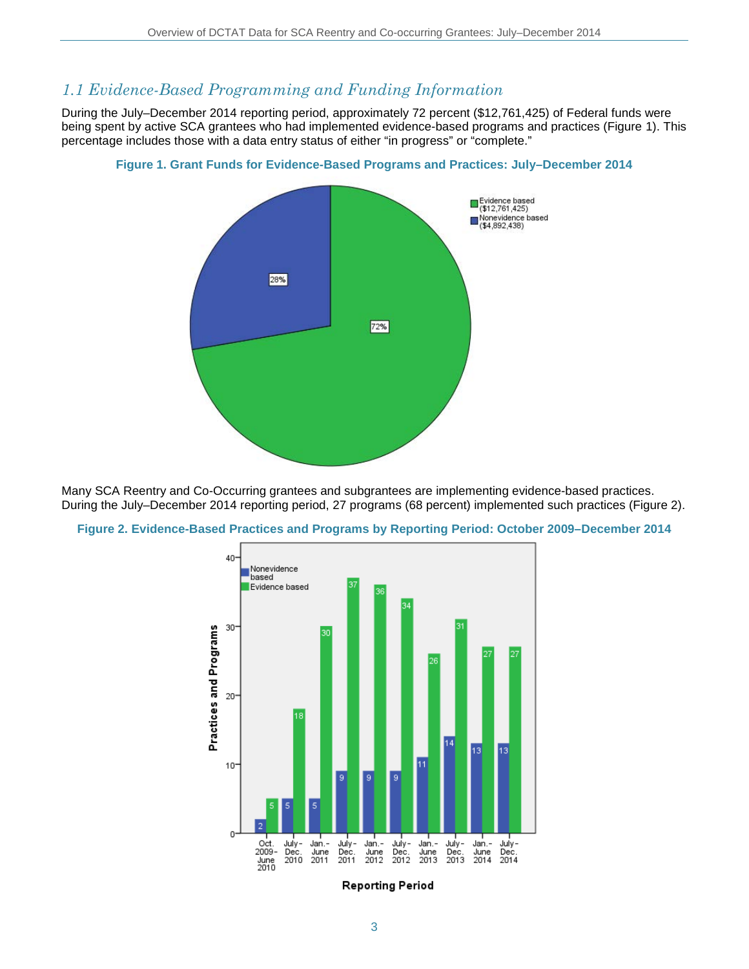### *1.1 Evidence-Based Programming and Funding Information*

During the July–December 2014 reporting period, approximately 72 percent (\$12,761,425) of Federal funds were being spent by active SCA grantees who had implemented evidence-based programs and practices (Figure 1). This percentage includes those with a data entry status of either "in progress" or "complete."



**Figure 1. Grant Funds for Evidence-Based Programs and Practices: July–December 2014**

Many SCA Reentry and Co-Occurring grantees and subgrantees are implementing evidence-based practices. During the July–December 2014 reporting period, 27 programs (68 percent) implemented such practices (Figure 2).





**Reporting Period**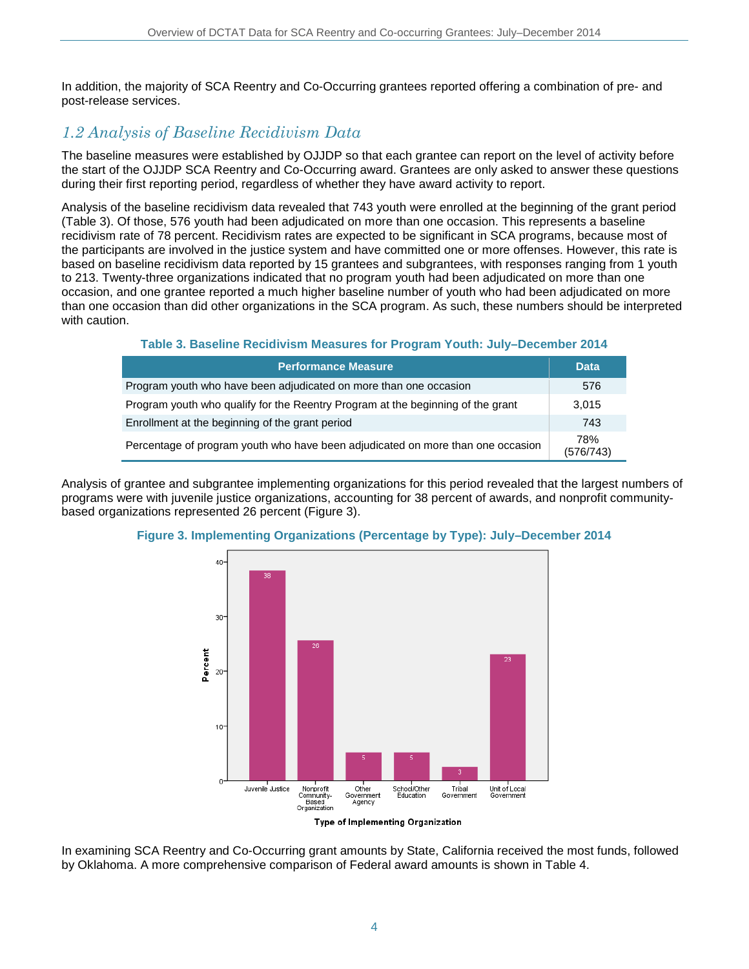In addition, the majority of SCA Reentry and Co-Occurring grantees reported offering a combination of pre- and post-release services.

# *1.2 Analysis of Baseline Recidivism Data*

The baseline measures were established by OJJDP so that each grantee can report on the level of activity before the start of the OJJDP SCA Reentry and Co-Occurring award. Grantees are only asked to answer these questions during their first reporting period, regardless of whether they have award activity to report.

Analysis of the baseline recidivism data revealed that 743 youth were enrolled at the beginning of the grant period (Table 3). Of those, 576 youth had been adjudicated on more than one occasion. This represents a baseline recidivism rate of 78 percent. Recidivism rates are expected to be significant in SCA programs, because most of the participants are involved in the justice system and have committed one or more offenses. However, this rate is based on baseline recidivism data reported by 15 grantees and subgrantees, with responses ranging from 1 youth to 213. Twenty-three organizations indicated that no program youth had been adjudicated on more than one occasion, and one grantee reported a much higher baseline number of youth who had been adjudicated on more than one occasion than did other organizations in the SCA program. As such, these numbers should be interpreted with caution.

#### **Table 3. Baseline Recidivism Measures for Program Youth: July–December 2014**

| <b>Performance Measure</b>                                                      | <b>Data</b>      |
|---------------------------------------------------------------------------------|------------------|
| Program youth who have been adjudicated on more than one occasion               | 576              |
| Program youth who qualify for the Reentry Program at the beginning of the grant | 3,015            |
| Enrollment at the beginning of the grant period                                 | 743              |
| Percentage of program youth who have been adjudicated on more than one occasion | 78%<br>(576/743) |

Analysis of grantee and subgrantee implementing organizations for this period revealed that the largest numbers of programs were with juvenile justice organizations, accounting for 38 percent of awards, and nonprofit communitybased organizations represented 26 percent (Figure 3).



#### **Figure 3. Implementing Organizations (Percentage by Type): July–December 2014**

In examining SCA Reentry and Co-Occurring grant amounts by State, California received the most funds, followed by Oklahoma. A more comprehensive comparison of Federal award amounts is shown in Table 4.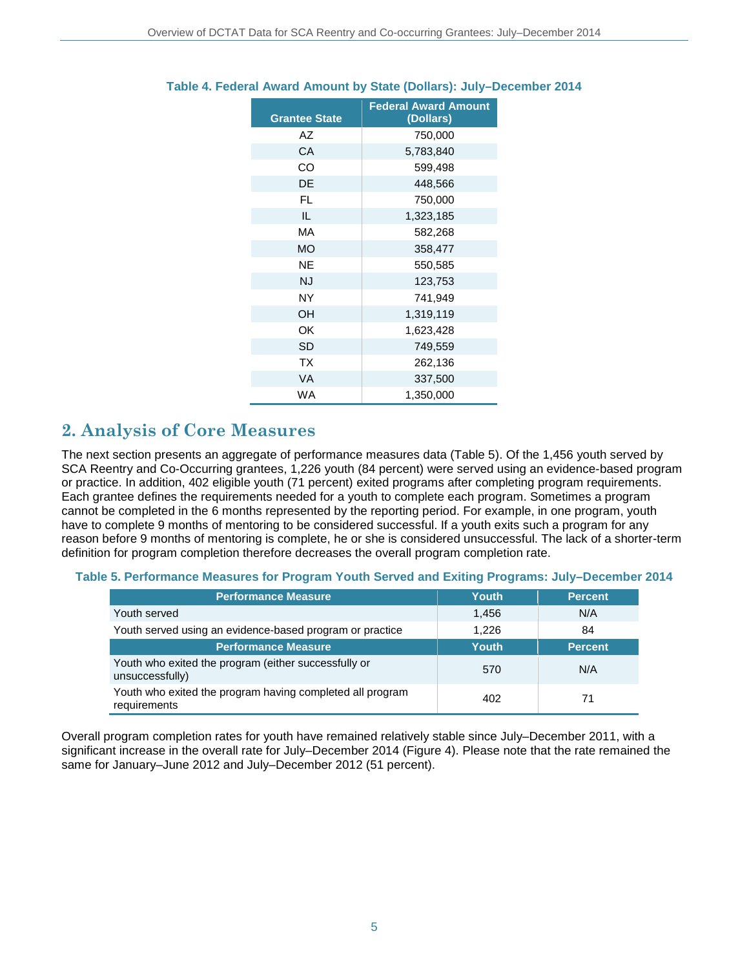| <b>Grantee State</b> | <b>Federal Award Amount</b><br>(Dollars) |
|----------------------|------------------------------------------|
| AZ                   | 750,000                                  |
| CA                   | 5,783,840                                |
| CO                   | 599,498                                  |
| DE                   | 448,566                                  |
| FL.                  | 750,000                                  |
| IL                   | 1,323,185                                |
| MA                   | 582,268                                  |
| <b>MO</b>            | 358,477                                  |
| <b>NE</b>            | 550,585                                  |
| <b>NJ</b>            | 123,753                                  |
| <b>NY</b>            | 741,949                                  |
| OH                   | 1,319,119                                |
| OK                   | 1,623,428                                |
| <b>SD</b>            | 749,559                                  |
| <b>TX</b>            | 262,136                                  |
| VA                   | 337,500                                  |
| WA                   | 1,350,000                                |

#### **Table 4. Federal Award Amount by State (Dollars): July–December 2014**

### **2. Analysis of Core Measures**

The next section presents an aggregate of performance measures data (Table 5). Of the 1,456 youth served by SCA Reentry and Co-Occurring grantees, 1,226 youth (84 percent) were served using an evidence-based program or practice. In addition, 402 eligible youth (71 percent) exited programs after completing program requirements. Each grantee defines the requirements needed for a youth to complete each program. Sometimes a program cannot be completed in the 6 months represented by the reporting period. For example, in one program, youth have to complete 9 months of mentoring to be considered successful. If a youth exits such a program for any reason before 9 months of mentoring is complete, he or she is considered unsuccessful. The lack of a shorter-term definition for program completion therefore decreases the overall program completion rate.

| Table 5. Performance Measures for Program Youth Served and Exiting Programs: July–December 2014 |
|-------------------------------------------------------------------------------------------------|
|-------------------------------------------------------------------------------------------------|

| <b>Performance Measure</b>                                                | <b>Youth</b> | <b>Percent</b> |
|---------------------------------------------------------------------------|--------------|----------------|
| Youth served                                                              | 1.456        | N/A            |
| Youth served using an evidence-based program or practice                  | 1.226        | 84             |
| <b>Performance Measure</b>                                                | Youth        | <b>Percent</b> |
| Youth who exited the program (either successfully or<br>unsuccessfully)   | 570          | N/A            |
| Youth who exited the program having completed all program<br>requirements | 402          | 71             |

Overall program completion rates for youth have remained relatively stable since July–December 2011, with a significant increase in the overall rate for July–December 2014 (Figure 4). Please note that the rate remained the same for January–June 2012 and July–December 2012 (51 percent).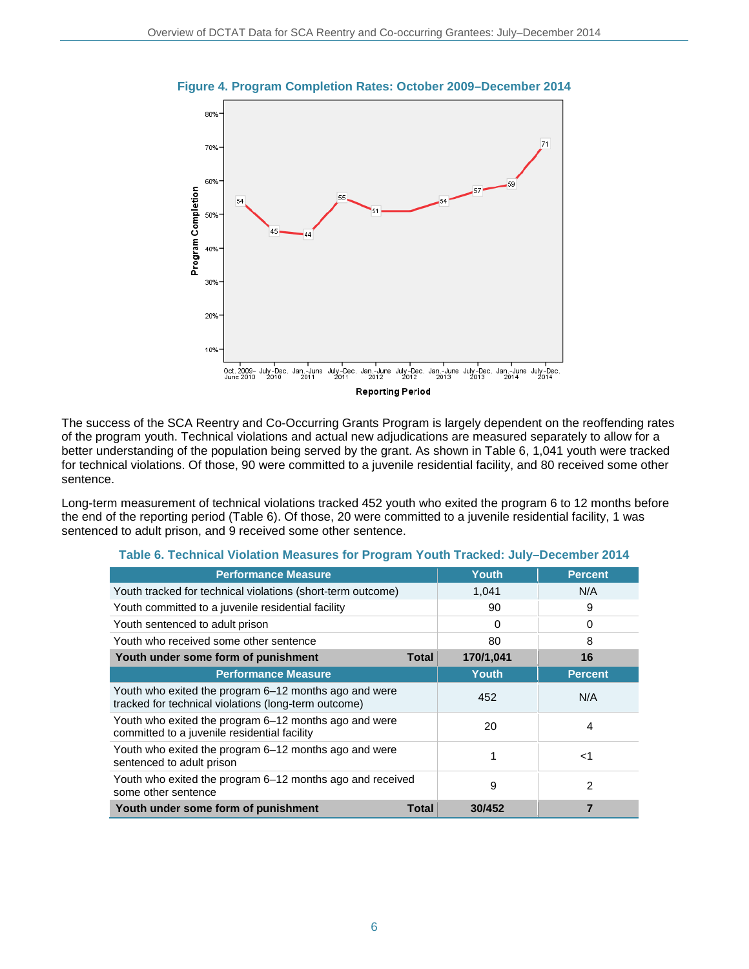

**Figure 4. Program Completion Rates: October 2009–December 2014**

The success of the SCA Reentry and Co-Occurring Grants Program is largely dependent on the reoffending rates of the program youth. Technical violations and actual new adjudications are measured separately to allow for a better understanding of the population being served by the grant. As shown in Table 6, 1,041 youth were tracked for technical violations. Of those, 90 were committed to a juvenile residential facility, and 80 received some other sentence.

Long-term measurement of technical violations tracked 452 youth who exited the program 6 to 12 months before the end of the reporting period (Table 6). Of those, 20 were committed to a juvenile residential facility, 1 was sentenced to adult prison, and 9 received some other sentence.

| <b>Performance Measure</b>                                                                                    | Youth     | <b>Percent</b> |
|---------------------------------------------------------------------------------------------------------------|-----------|----------------|
| Youth tracked for technical violations (short-term outcome)                                                   | 1,041     | N/A            |
| Youth committed to a juvenile residential facility                                                            | 90        | 9              |
| Youth sentenced to adult prison                                                                               | 0         | 0              |
| Youth who received some other sentence                                                                        | 80        | 8              |
| Youth under some form of punishment<br>Total                                                                  | 170/1,041 | 16             |
| <b>Performance Measure</b>                                                                                    | Youth     | <b>Percent</b> |
| Youth who exited the program 6-12 months ago and were<br>tracked for technical violations (long-term outcome) | 452       | N/A            |
| Youth who exited the program 6–12 months ago and were<br>committed to a juvenile residential facility         | 20        | 4              |
| Youth who exited the program 6–12 months ago and were<br>sentenced to adult prison                            |           | $<$ 1          |
| Youth who exited the program 6–12 months ago and received<br>some other sentence                              | 9         | $\mathcal{P}$  |
| Youth under some form of punishment<br>Total                                                                  | 30/452    |                |

#### **Table 6. Technical Violation Measures for Program Youth Tracked: July–December 2014**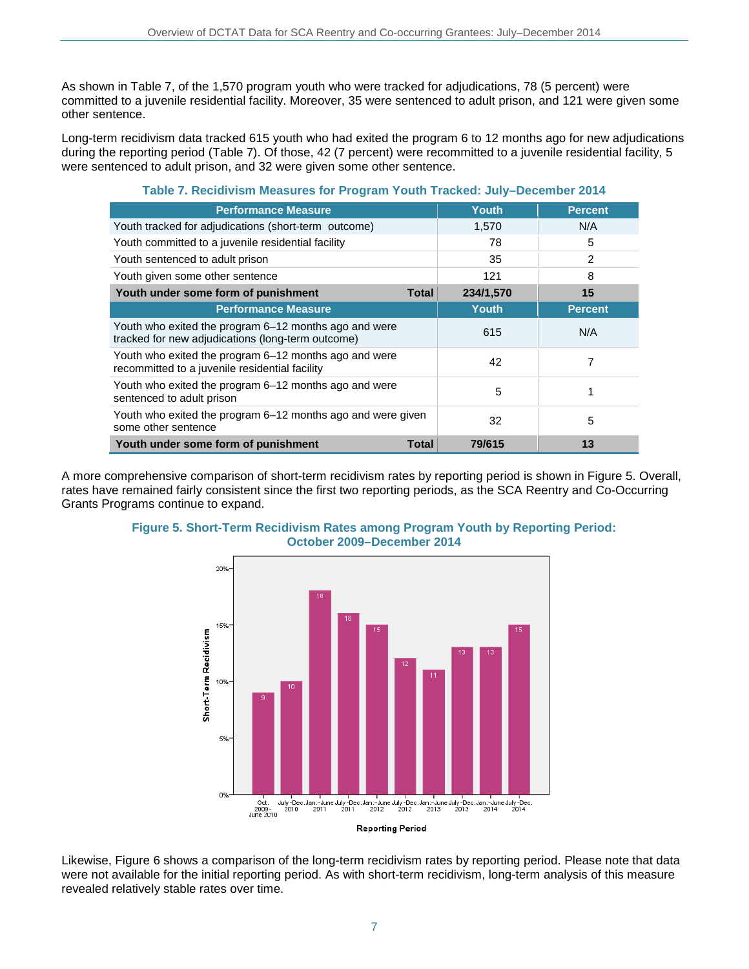As shown in Table 7, of the 1,570 program youth who were tracked for adjudications, 78 (5 percent) were committed to a juvenile residential facility. Moreover, 35 were sentenced to adult prison, and 121 were given some other sentence.

Long-term recidivism data tracked 615 youth who had exited the program 6 to 12 months ago for new adjudications during the reporting period (Table 7). Of those, 42 (7 percent) were recommitted to a juvenile residential facility, 5 were sentenced to adult prison, and 32 were given some other sentence.

| $-00001110012017$                                                                                          |              |                |  |  |
|------------------------------------------------------------------------------------------------------------|--------------|----------------|--|--|
| <b>Performance Measure</b>                                                                                 | <b>Youth</b> | <b>Percent</b> |  |  |
| Youth tracked for adjudications (short-term outcome)                                                       | 1,570        | N/A            |  |  |
| Youth committed to a juvenile residential facility                                                         | 78           | 5              |  |  |
| Youth sentenced to adult prison                                                                            | 35           | 2              |  |  |
| Youth given some other sentence                                                                            | 121          | 8              |  |  |
| Youth under some form of punishment<br><b>Total</b>                                                        | 234/1,570    | 15             |  |  |
| <b>Performance Measure</b>                                                                                 | Youth        | <b>Percent</b> |  |  |
| Youth who exited the program 6–12 months ago and were<br>tracked for new adjudications (long-term outcome) | 615          | N/A            |  |  |
| Youth who exited the program 6–12 months ago and were<br>recommitted to a juvenile residential facility    | 42           | 7              |  |  |
| Youth who exited the program 6–12 months ago and were<br>sentenced to adult prison                         | 5            |                |  |  |
| Youth who exited the program 6–12 months ago and were given<br>some other sentence                         | 32           | 5              |  |  |
| Youth under some form of punishment<br>Total                                                               | 79/615       | 13             |  |  |

#### **Table 7. Recidivism Measures for Program Youth Tracked: July–December 2014**

A more comprehensive comparison of short-term recidivism rates by reporting period is shown in Figure 5. Overall, rates have remained fairly consistent since the first two reporting periods, as the SCA Reentry and Co-Occurring Grants Programs continue to expand.



#### **Figure 5. Short-Term Recidivism Rates among Program Youth by Reporting Period: October 2009–December 2014**

Likewise, Figure 6 shows a comparison of the long-term recidivism rates by reporting period. Please note that data were not available for the initial reporting period. As with short-term recidivism, long-term analysis of this measure revealed relatively stable rates over time.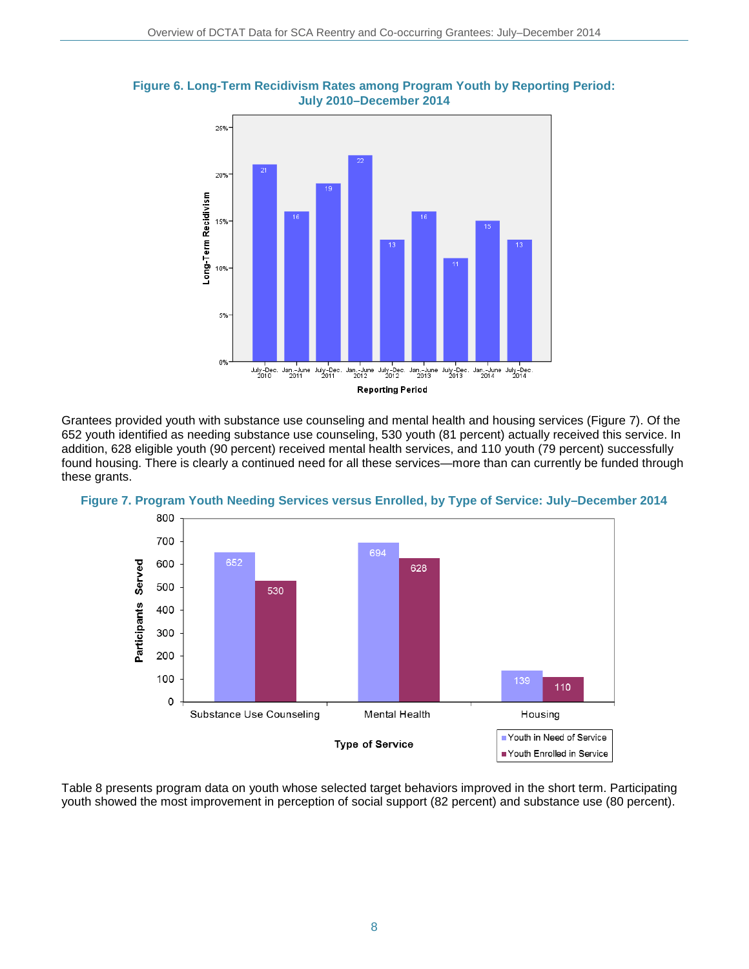

**Figure 6. Long-Term Recidivism Rates among Program Youth by Reporting Period: July 2010–December 2014**

Grantees provided youth with substance use counseling and mental health and housing services (Figure 7). Of the 652 youth identified as needing substance use counseling, 530 youth (81 percent) actually received this service. In addition, 628 eligible youth (90 percent) received mental health services, and 110 youth (79 percent) successfully found housing. There is clearly a continued need for all these services—more than can currently be funded through these grants.





Table 8 presents program data on youth whose selected target behaviors improved in the short term. Participating youth showed the most improvement in perception of social support (82 percent) and substance use (80 percent).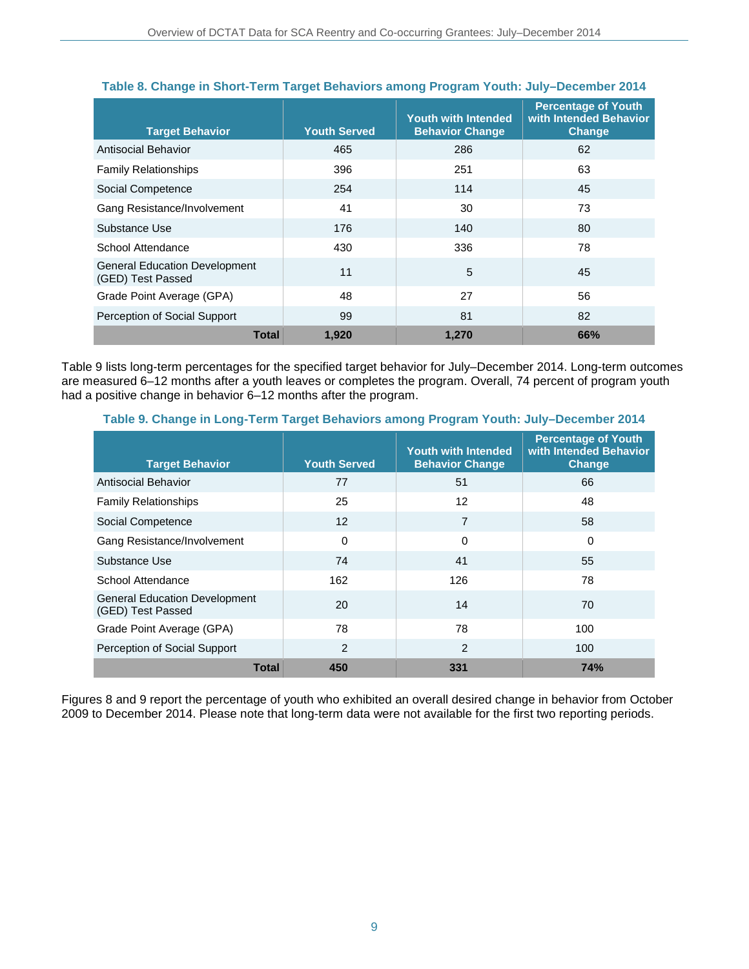| <b>Target Behavior</b>                                    | <b>Youth Served</b> | <b>Youth with Intended</b><br><b>Behavior Change</b> | <b>Percentage of Youth</b><br>with Intended Behavior<br><b>Change</b> |
|-----------------------------------------------------------|---------------------|------------------------------------------------------|-----------------------------------------------------------------------|
| Antisocial Behavior                                       | 465                 | 286                                                  | 62                                                                    |
| <b>Family Relationships</b>                               | 396                 | 251                                                  | 63                                                                    |
| Social Competence                                         | 254                 | 114                                                  | 45                                                                    |
| Gang Resistance/Involvement                               | 41                  | 30                                                   | 73                                                                    |
| Substance Use                                             | 176                 | 140                                                  | 80                                                                    |
| School Attendance                                         | 430                 | 336                                                  | 78                                                                    |
| <b>General Education Development</b><br>(GED) Test Passed | 11                  | 5                                                    | 45                                                                    |
| Grade Point Average (GPA)                                 | 48                  | 27                                                   | 56                                                                    |
| Perception of Social Support                              | 99                  | 81                                                   | 82                                                                    |
| <b>Total</b>                                              | 1,920               | 1,270                                                | 66%                                                                   |

#### **Table 8. Change in Short-Term Target Behaviors among Program Youth: July–December 2014**

Table 9 lists long-term percentages for the specified target behavior for July–December 2014. Long-term outcomes are measured 6–12 months after a youth leaves or completes the program. Overall, 74 percent of program youth had a positive change in behavior 6–12 months after the program.

| Table 9. Change in Long-Term Target Behaviors among Program Youth: July-December 2014 |  |  |
|---------------------------------------------------------------------------------------|--|--|

| <b>Target Behavior</b>                                    | <b>Youth Served</b> | <b>Youth with Intended</b><br><b>Behavior Change</b> | <b>Percentage of Youth</b><br>with Intended Behavior<br><b>Change</b> |
|-----------------------------------------------------------|---------------------|------------------------------------------------------|-----------------------------------------------------------------------|
| Antisocial Behavior                                       | 77                  | 51                                                   | 66                                                                    |
| <b>Family Relationships</b>                               | 25                  | 12                                                   | 48                                                                    |
| Social Competence                                         | 12                  | 7                                                    | 58                                                                    |
| Gang Resistance/Involvement                               | 0                   | 0                                                    | $\Omega$                                                              |
| Substance Use                                             | 74                  | 41                                                   | 55                                                                    |
| School Attendance                                         | 162                 | 126                                                  | 78                                                                    |
| <b>General Education Development</b><br>(GED) Test Passed | 20                  | 14                                                   | 70                                                                    |
| Grade Point Average (GPA)                                 | 78                  | 78                                                   | 100                                                                   |
| Perception of Social Support                              | $\overline{2}$      | 2                                                    | 100                                                                   |
| <b>Total</b>                                              | 450                 | 331                                                  | <b>74%</b>                                                            |

Figures 8 and 9 report the percentage of youth who exhibited an overall desired change in behavior from October 2009 to December 2014. Please note that long-term data were not available for the first two reporting periods.